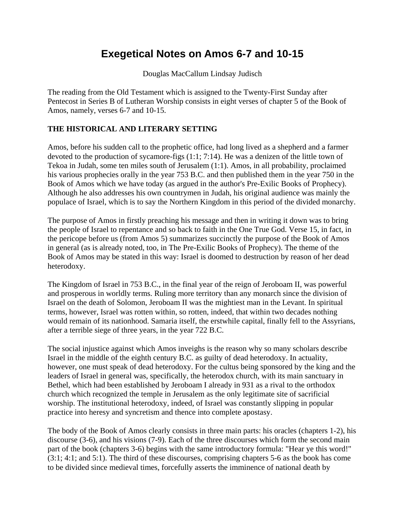## **Exegetical Notes on Amos 6-7 and 10-15**

Douglas MacCallum Lindsay Judisch

The reading from the Old Testament which is assigned to the Twenty-First Sunday after Pentecost in Series B of Lutheran Worship consists in eight verses of chapter 5 of the Book of Amos, namely, verses 6-7 and 10-15.

## **THE HISTORICAL AND LITERARY SETTING**

Amos, before his sudden call to the prophetic office, had long lived as a shepherd and a farmer devoted to the production of sycamore-figs (1:1; 7:14). He was a denizen of the little town of Tekoa in Judah, some ten miles south of Jerusalem (1:1). Amos, in all probability, proclaimed his various prophecies orally in the year 753 B.C. and then published them in the year 750 in the Book of Amos which we have today (as argued in the author's Pre-Exilic Books of Prophecy). Although he also addresses his own countrymen in Judah, his original audience was mainly the populace of Israel, which is to say the Northern Kingdom in this period of the divided monarchy.

The purpose of Amos in firstly preaching his message and then in writing it down was to bring the people of Israel to repentance and so back to faith in the One True God. Verse 15, in fact, in the pericope before us (from Amos 5) summarizes succinctly the purpose of the Book of Amos in general (as is already noted, too, in The Pre-Exilic Books of Prophecy). The theme of the Book of Amos may be stated in this way: Israel is doomed to destruction by reason of her dead heterodoxy.

The Kingdom of Israel in 753 B.C., in the final year of the reign of Jeroboam II, was powerful and prosperous in worldly terms. Ruling more territory than any monarch since the division of Israel on the death of Solomon, Jeroboam II was the mightiest man in the Levant. In spiritual terms, however, Israel was rotten within, so rotten, indeed, that within two decades nothing would remain of its nationhood. Samaria itself, the erstwhile capital, finally fell to the Assyrians, after a terrible siege of three years, in the year 722 B.C.

The social injustice against which Amos inveighs is the reason why so many scholars describe Israel in the middle of the eighth century B.C. as guilty of dead heterodoxy. In actuality, however, one must speak of dead heterodoxy. For the cultus being sponsored by the king and the leaders of Israel in general was, specifically, the heterodox church, with its main sanctuary in Bethel, which had been established by Jeroboam I already in 931 as a rival to the orthodox church which recognized the temple in Jerusalem as the only legitimate site of sacrificial worship. The institutional heterodoxy, indeed, of Israel was constantly slipping in popular practice into heresy and syncretism and thence into complete apostasy.

The body of the Book of Amos clearly consists in three main parts: his oracles (chapters 1-2), his discourse (3-6), and his visions (7-9). Each of the three discourses which form the second main part of the book (chapters 3-6) begins with the same introductory formula: "Hear ye this word!" (3:1; 4:1; and 5:1). The third of these discourses, comprising chapters 5-6 as the book has come to be divided since medieval times, forcefully asserts the imminence of national death by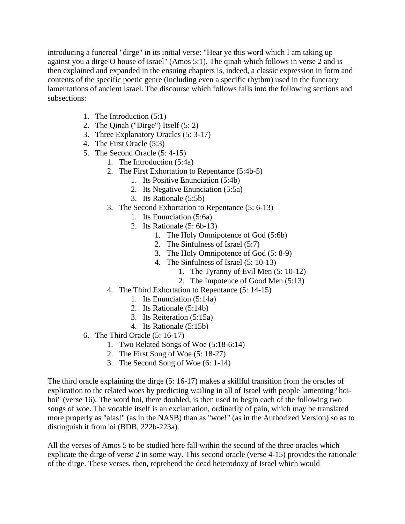introducing a funereal "dirge" in its initial verse: "Hear ye this word which I am taking up against you a dirge O house of Israel" (Amos 5:1). The qinah which follows in verse 2 and is then explained and expanded in the ensuing chapters is, indeed, a classic expression in form and contents of the specific poetic genre (including even a specific rhythm) used in the funerary lamentations of ancient Israel. The discourse which follows falls into the following sections and subsections:

- 1. The Introduction (5:1)
- 2. The Qinah ("Dirge") Itself (5: 2)
- 3. Three Explanatory Oracles (5: 3-17)
- 4. The First Oracle (5:3)
- 5. The Second Oracle (5: 4-15)
	- 1. The Introduction (5:4a)
		- 2. The First Exhortation to Repentance (5:4b-5)
			- 1. Its Positive Enunciation (5:4b)
			- 2. Its Negative Enunciation (5:5a)
			- 3. Its Rationale (5:5b)
	- 3. The Second Exhortation to Repentance (5: 6-13)
		- 1. Its Enunciation (5:6a)
		- 2. Its Rationale (5: 6b-13)
			- 1. The Holy Omnipotence of God (5:6b)
			- 2. The Sinfulness of Israel (5:7)
			- 3. The Holy Omnipotence of God (5: 8-9)
			- 4. The Sinfulness of Israel (5: 10-13)
				- 1. The Tyranny of Evil Men (5: 10-12)
				- 2. The Impotence of Good Men (5:13)
	- 4. The Third Exhortation to Repentance (5: 14-15)
		- 1. Its Enunciation (5:14a)
		- 2. Its Rationale (5:14b)
		- 3. Its Reiteration (5:15a)
		- 4. Its Rationale (5:15b)
- 6. The Third Oracle (5: 16-17)
	- 1. Two Related Songs of Woe (5:18-6:14)
	- 2. The First Song of Woe (5: 18-27)
	- 3. The Second Song of Woe (6: 1-14)

The third oracle explaining the dirge (5: 16-17) makes a skillful transition from the oracles of explication to the related woes by predicting wailing in all of Israel with people lamenting "hoihoi" (verse 16). The word hoi, there doubled, is then used to begin each of the following two songs of woe. The vocable itself is an exclamation, ordinarily of pain, which may be translated more properly as "alas!" (as in the NASB) than as "woe!" (as in the Authorized Version) so as to distinguish it from 'oi (BDB, 222b-223a).

All the verses of Amos 5 to be studied here fall within the second of the three oracles which explicate the dirge of verse 2 in some way. This second oracle (verse 4-15) provides the rationale of the dirge. These verses, then, reprehend the dead heterodoxy of Israel which would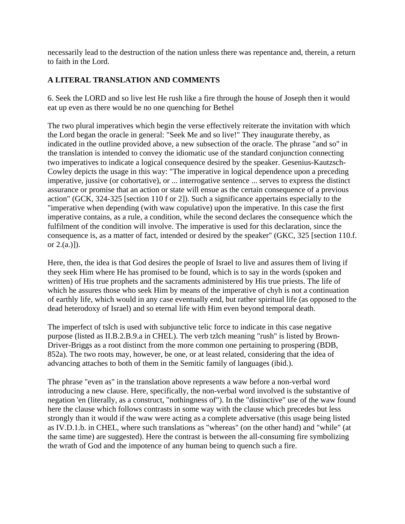necessarily lead to the destruction of the nation unless there was repentance and, therein, a return to faith in the Lord.

## **A LITERAL TRANSLATION AND COMMENTS**

6. Seek the LORD and so live lest He rush like a fire through the house of Joseph then it would eat up even as there would be no one quenching for Bethel

The two plural imperatives which begin the verse effectively reiterate the invitation with which the Lord began the oracle in general: "Seek Me and so live!" They inaugurate thereby, as indicated in the outline provided above, a new subsection of the oracle. The phrase "and so" in the translation is intended to convey the idiomatic use of the standard conjunction connecting two imperatives to indicate a logical consequence desired by the speaker. Gesenius-Kautzsch-Cowley depicts the usage in this way: "The imperative in logical dependence upon a preceding imperative, jussive (or cohortative), or ... interrogative sentence ... serves to express the distinct assurance or promise that an action or state will ensue as the certain consequence of a previous action" (GCK, 324-325 [section 110 f or 2]). Such a significance appertains especially to the "imperative when depending (with waw copulative) upon the imperative. In this case the first imperative contains, as a rule, a condition, while the second declares the consequence which the fulfilment of the condition will involve. The imperative is used for this declaration, since the consequence is, as a matter of fact, intended or desired by the speaker" (GKC, 325 [section 110.f. or 2.(a.)]).

Here, then, the idea is that God desires the people of Israel to live and assures them of living if they seek Him where He has promised to be found, which is to say in the words (spoken and written) of His true prophets and the sacraments administered by His true priests. The life of which he assures those who seek Him by means of the imperative of chyh is not a continuation of earthly life, which would in any case eventually end, but rather spiritual life (as opposed to the dead heterodoxy of Israel) and so eternal life with Him even beyond temporal death.

The imperfect of tslch is used with subjunctive telic force to indicate in this case negative purpose (listed as II.B.2.B.9.a in CHEL). The verb tzlch meaning "rush" is listed by Brown-Driver-Briggs as a root distinct from the more common one pertaining to prospering (BDB, 852a). The two roots may, however, be one, or at least related, considering that the idea of advancing attaches to both of them in the Semitic family of languages (ibid.).

The phrase "even as" in the translation above represents a waw before a non-verbal word introducing a new clause. Here, specifically, the non-verbal word involved is the substantive of negation 'en (literally, as a construct, "nothingness of"). In the "distinctive" use of the waw found here the clause which follows contrasts in some way with the clause which precedes but less strongly than it would if the waw were acting as a complete adversative (this usage being listed as IV.D.1.b. in CHEL, where such translations as "whereas" (on the other hand) and "while" (at the same time) are suggested). Here the contrast is between the all-consuming fire symbolizing the wrath of God and the impotence of any human being to quench such a fire.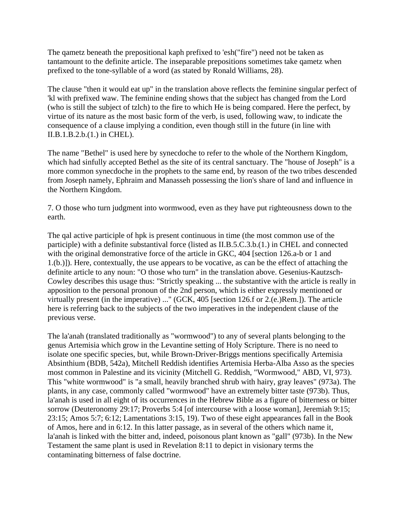The qametz beneath the prepositional kaph prefixed to 'esh("fire") need not be taken as tantamount to the definite article. The inseparable prepositions sometimes take qametz when prefixed to the tone-syllable of a word (as stated by Ronald Williams, 28).

The clause "then it would eat up" in the translation above reflects the feminine singular perfect of 'kl with prefixed waw. The feminine ending shows that the subject has changed from the Lord (who is still the subject of tzlch) to the fire to which He is being compared. Here the perfect, by virtue of its nature as the most basic form of the verb, is used, following waw, to indicate the consequence of a clause implying a condition, even though still in the future (in line with II.B.1.B.2.b.(1.) in CHEL).

The name "Bethel" is used here by synecdoche to refer to the whole of the Northern Kingdom, which had sinfully accepted Bethel as the site of its central sanctuary. The "house of Joseph" is a more common synecdoche in the prophets to the same end, by reason of the two tribes descended from Joseph namely, Ephraim and Manasseh possessing the lion's share of land and influence in the Northern Kingdom.

7. O those who turn judgment into wormwood, even as they have put righteousness down to the earth.

The qal active participle of hpk is present continuous in time (the most common use of the participle) with a definite substantival force (listed as II.B.5.C.3.b.(1.) in CHEL and connected with the original demonstrative force of the article in GKC, 404 [section 126.a-b or 1 and 1.(b.)]). Here, contextually, the use appears to be vocative, as can be the effect of attaching the definite article to any noun: "O those who turn" in the translation above. Gesenius-Kautzsch-Cowley describes this usage thus: "Strictly speaking ... the substantive with the article is really in apposition to the personal pronoun of the 2nd person, which is either expressly mentioned or virtually present (in the imperative) ..." (GCK, 405 [section 126.f or 2.(e.)Rem.]). The article here is referring back to the subjects of the two imperatives in the independent clause of the previous verse.

The la'anah (translated traditionally as "wormwood") to any of several plants belonging to the genus Artemisia which grow in the Levantine setting of Holy Scripture. There is no need to isolate one specific species, but, while Brown-Driver-Briggs mentions specifically Artemisia Absinthium (BDB, 542a), Mitchell Reddish identifies Artemisia Herba-Alba Asso as the species most common in Palestine and its vicinity (Mitchell G. Reddish, "Wormwood," ABD, VI, 973). This "white wormwood" is "a small, heavily branched shrub with hairy, gray leaves" (973a). The plants, in any case, commonly called "wormwood" have an extremely bitter taste (973b). Thus, la'anah is used in all eight of its occurrences in the Hebrew Bible as a figure of bitterness or bitter sorrow (Deuteronomy 29:17; Proverbs 5:4 [of intercourse with a loose woman], Jeremiah 9:15; 23:15; Amos 5:7; 6:12; Lamentations 3:15, 19). Two of these eight appearances fall in the Book of Amos, here and in 6:12. In this latter passage, as in several of the others which name it, la'anah is linked with the bitter and, indeed, poisonous plant known as "gall" (973b). In the New Testament the same plant is used in Revelation 8:11 to depict in visionary terms the contaminating bitterness of false doctrine.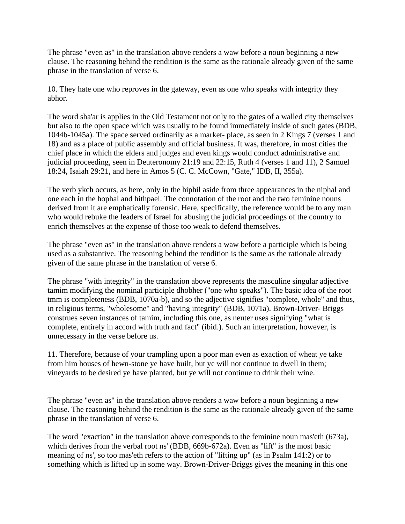The phrase "even as" in the translation above renders a waw before a noun beginning a new clause. The reasoning behind the rendition is the same as the rationale already given of the same phrase in the translation of verse 6.

10. They hate one who reproves in the gateway, even as one who speaks with integrity they abhor.

The word sha'ar is applies in the Old Testament not only to the gates of a walled city themselves but also to the open space which was usually to be found immediately inside of such gates (BDB, 1044b-1045a). The space served ordinarily as a market- place, as seen in 2 Kings 7 (verses 1 and 18) and as a place of public assembly and official business. It was, therefore, in most cities the chief place in which the elders and judges and even kings would conduct administrative and judicial proceeding, seen in Deuteronomy 21:19 and 22:15, Ruth 4 (verses 1 and 11), 2 Samuel 18:24, Isaiah 29:21, and here in Amos 5 (C. C. McCown, "Gate," IDB, II, 355a).

The verb ykch occurs, as here, only in the hiphil aside from three appearances in the niphal and one each in the hophal and hithpael. The connotation of the root and the two feminine nouns derived from it are emphatically forensic. Here, specifically, the reference would be to any man who would rebuke the leaders of Israel for abusing the judicial proceedings of the country to enrich themselves at the expense of those too weak to defend themselves.

The phrase "even as" in the translation above renders a waw before a participle which is being used as a substantive. The reasoning behind the rendition is the same as the rationale already given of the same phrase in the translation of verse 6.

The phrase "with integrity" in the translation above represents the masculine singular adjective tamim modifying the nominal participle dhobher ("one who speaks"). The basic idea of the root tmm is completeness (BDB, 1070a-b), and so the adjective signifies "complete, whole" and thus, in religious terms, "wholesome" and "having integrity" (BDB, 1071a). Brown-Driver- Briggs construes seven instances of tamim, including this one, as neuter uses signifying "what is complete, entirely in accord with truth and fact" (ibid.). Such an interpretation, however, is unnecessary in the verse before us.

11. Therefore, because of your trampling upon a poor man even as exaction of wheat ye take from him houses of hewn-stone ye have built, but ye will not continue to dwell in them; vineyards to be desired ye have planted, but ye will not continue to drink their wine.

The phrase "even as" in the translation above renders a waw before a noun beginning a new clause. The reasoning behind the rendition is the same as the rationale already given of the same phrase in the translation of verse 6.

The word "exaction" in the translation above corresponds to the feminine noun mas'eth (673a), which derives from the verbal root ns' (BDB, 669b-672a). Even as "lift" is the most basic meaning of ns', so too mas'eth refers to the action of "lifting up" (as in Psalm 141:2) or to something which is lifted up in some way. Brown-Driver-Briggs gives the meaning in this one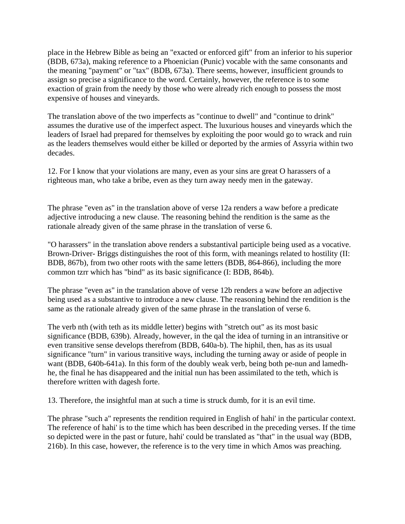place in the Hebrew Bible as being an "exacted or enforced gift" from an inferior to his superior (BDB, 673a), making reference to a Phoenician (Punic) vocable with the same consonants and the meaning "payment" or "tax" (BDB, 673a). There seems, however, insufficient grounds to assign so precise a significance to the word. Certainly, however, the reference is to some exaction of grain from the needy by those who were already rich enough to possess the most expensive of houses and vineyards.

The translation above of the two imperfects as "continue to dwell" and "continue to drink" assumes the durative use of the imperfect aspect. The luxurious houses and vineyards which the leaders of Israel had prepared for themselves by exploiting the poor would go to wrack and ruin as the leaders themselves would either be killed or deported by the armies of Assyria within two decades.

12. For I know that your violations are many, even as your sins are great O harassers of a righteous man, who take a bribe, even as they turn away needy men in the gateway.

The phrase "even as" in the translation above of verse 12a renders a waw before a predicate adjective introducing a new clause. The reasoning behind the rendition is the same as the rationale already given of the same phrase in the translation of verse 6.

"O harassers" in the translation above renders a substantival participle being used as a vocative. Brown-Driver- Briggs distinguishes the root of this form, with meanings related to hostility (II: BDB, 867b), from two other roots with the same letters (BDB, 864-866), including the more common tzrr which has "bind" as its basic significance (I: BDB, 864b).

The phrase "even as" in the translation above of verse 12b renders a waw before an adjective being used as a substantive to introduce a new clause. The reasoning behind the rendition is the same as the rationale already given of the same phrase in the translation of verse 6.

The verb nth (with teth as its middle letter) begins with "stretch out" as its most basic significance (BDB, 639b). Already, however, in the qal the idea of turning in an intransitive or even transitive sense develops therefrom (BDB, 640a-b). The hiphil, then, has as its usual significance "turn" in various transitive ways, including the turning away or aside of people in want (BDB, 640b-641a). In this form of the doubly weak verb, being both pe-nun and lamedhhe, the final he has disappeared and the initial nun has been assimilated to the teth, which is therefore written with dagesh forte.

13. Therefore, the insightful man at such a time is struck dumb, for it is an evil time.

The phrase "such a" represents the rendition required in English of hahi' in the particular context. The reference of hahi' is to the time which has been described in the preceding verses. If the time so depicted were in the past or future, hahi' could be translated as "that" in the usual way (BDB, 216b). In this case, however, the reference is to the very time in which Amos was preaching.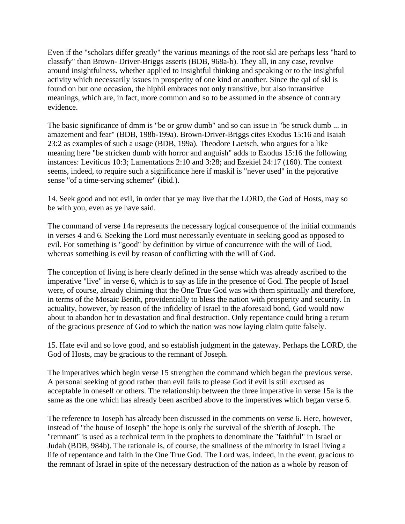Even if the "scholars differ greatly" the various meanings of the root skl are perhaps less "hard to classify" than Brown- Driver-Briggs asserts (BDB, 968a-b). They all, in any case, revolve around insightfulness, whether applied to insightful thinking and speaking or to the insightful activity which necessarily issues in prosperity of one kind or another. Since the qal of skl is found on but one occasion, the hiphil embraces not only transitive, but also intransitive meanings, which are, in fact, more common and so to be assumed in the absence of contrary evidence.

The basic significance of dmm is "be or grow dumb" and so can issue in "be struck dumb ... in amazement and fear" (BDB, 198b-199a). Brown-Driver-Briggs cites Exodus 15:16 and Isaiah 23:2 as examples of such a usage (BDB, 199a). Theodore Laetsch, who argues for a like meaning here "be stricken dumb with horror and anguish" adds to Exodus 15:16 the following instances: Leviticus 10:3; Lamentations 2:10 and 3:28; and Ezekiel 24:17 (160). The context seems, indeed, to require such a significance here if maskil is "never used" in the pejorative sense "of a time-serving schemer" (ibid.).

14. Seek good and not evil, in order that ye may live that the LORD, the God of Hosts, may so be with you, even as ye have said.

The command of verse 14a represents the necessary logical consequence of the initial commands in verses 4 and 6. Seeking the Lord must necessarily eventuate in seeking good as opposed to evil. For something is "good" by definition by virtue of concurrence with the will of God, whereas something is evil by reason of conflicting with the will of God.

The conception of living is here clearly defined in the sense which was already ascribed to the imperative "live" in verse 6, which is to say as life in the presence of God. The people of Israel were, of course, already claiming that the One True God was with them spiritually and therefore, in terms of the Mosaic Berith, providentially to bless the nation with prosperity and security. In actuality, however, by reason of the infidelity of Israel to the aforesaid bond, God would now about to abandon her to devastation and final destruction. Only repentance could bring a return of the gracious presence of God to which the nation was now laying claim quite falsely.

15. Hate evil and so love good, and so establish judgment in the gateway. Perhaps the LORD, the God of Hosts, may be gracious to the remnant of Joseph.

The imperatives which begin verse 15 strengthen the command which began the previous verse. A personal seeking of good rather than evil fails to please God if evil is still excused as acceptable in oneself or others. The relationship between the three imperative in verse 15a is the same as the one which has already been ascribed above to the imperatives which began verse 6.

The reference to Joseph has already been discussed in the comments on verse 6. Here, however, instead of "the house of Joseph" the hope is only the survival of the sh'erith of Joseph. The "remnant" is used as a technical term in the prophets to denominate the "faithful" in Israel or Judah (BDB, 984b). The rationale is, of course, the smallness of the minority in Israel living a life of repentance and faith in the One True God. The Lord was, indeed, in the event, gracious to the remnant of Israel in spite of the necessary destruction of the nation as a whole by reason of